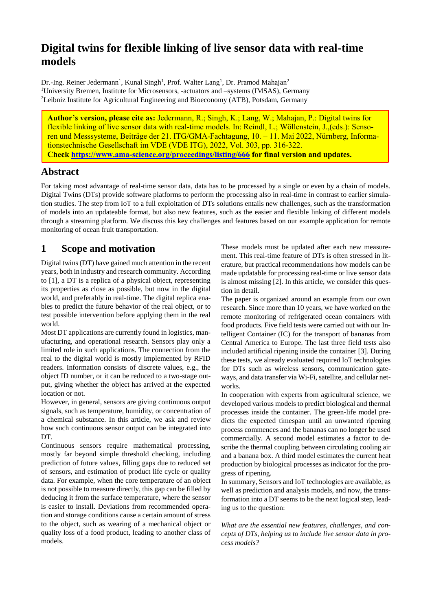# **Digital twins for flexible linking of live sensor data with real-time models**

Dr.-Ing. Reiner Jedermann<sup>1</sup>, Kunal Singh<sup>1</sup>, Prof. Walter Lang<sup>1</sup>, Dr. Pramod Mahajan<sup>2</sup> <sup>1</sup>University Bremen, Institute for Microsensors, -actuators and -systems (IMSAS), Germany <sup>2</sup>Leibniz Institute for Agricultural Engineering and Bioeconomy (ATB), Potsdam, Germany

**Author's version, please cite as:** Jedermann, R.; Singh, K.; Lang, W.; Mahajan, P.: Digital twins for flexible linking of live sensor data with real-time models. In: Reindl, L.; Wöllenstein, J.,(eds.): Sensoren und Messsysteme, Beiträge der 21. ITG/GMA-Fachtagung, 10. – 11. Mai 2022, Nürnberg, Informationstechnische Gesellschaft im VDE (VDE ITG), 2022, Vol. 303, pp. 316-322. **Check<https://www.ama-science.org/proceedings/listing/666> for final version and updates.** 

#### **Abstract**

For taking most advantage of real-time sensor data, data has to be processed by a single or even by a chain of models. Digital Twins (DTs) provide software platforms to perform the processing also in real-time in contrast to earlier simulation studies. The step from IoT to a full exploitation of DTs solutions entails new challenges, such as the transformation of models into an updateable format, but also new features, such as the easier and flexible linking of different models through a streaming platform. We discuss this key challenges and features based on our example application for remote monitoring of ocean fruit transportation.

# **1 Scope and motivation**

Digital twins (DT) have gained much attention in the recent years, both in industry and research community. According to [1], a DT is a replica of a physical object, representing its properties as close as possible, but now in the digital world, and preferably in real-time. The digital replica enables to predict the future behavior of the real object, or to test possible intervention before applying them in the real world.

Most DT applications are currently found in logistics, manufacturing, and operational research. Sensors play only a limited role in such applications. The connection from the real to the digital world is mostly implemented by RFID readers. Information consists of discrete values, e.g., the object ID number, or it can be reduced to a two-stage output, giving whether the object has arrived at the expected location or not.

However, in general, sensors are giving continuous output signals, such as temperature, humidity, or concentration of a chemical substance. In this article, we ask and review how such continuous sensor output can be integrated into DT.

Continuous sensors require mathematical processing, mostly far beyond simple threshold checking, including prediction of future values, filling gaps due to reduced set of sensors, and estimation of product life cycle or quality data. For example, when the core temperature of an object is not possible to measure directly, this gap can be filled by deducing it from the surface temperature, where the sensor is easier to install. Deviations from recommended operation and storage conditions cause a certain amount of stress to the object, such as wearing of a mechanical object or quality loss of a food product, leading to another class of models.

These models must be updated after each new measurement. This real-time feature of DTs is often stressed in literature, but practical recommendations how models can be made updatable for processing real-time or live sensor data is almost missing [2]. In this article, we consider this question in detail.

The paper is organized around an example from our own research. Since more than 10 years, we have worked on the remote monitoring of refrigerated ocean containers with food products. Five field tests were carried out with our Intelligent Container (IC) for the transport of bananas from Central America to Europe. The last three field tests also included artificial ripening inside the container [3]. During these tests, we already evaluated required IoT technologies for DTs such as wireless sensors, communication gateways, and data transfer via Wi-Fi, satellite, and cellular networks.

In cooperation with experts from agricultural science, we developed various models to predict biological and thermal processes inside the container. The green-life model predicts the expected timespan until an unwanted ripening process commences and the bananas can no longer be used commercially. A second model estimates a factor to describe the thermal coupling between circulating cooling air and a banana box. A third model estimates the current heat production by biological processes as indicator for the progress of ripening.

In summary, Sensors and IoT technologies are available, as well as prediction and analysis models, and now, the transformation into a DT seems to be the next logical step, leading us to the question:

*What are the essential new features, challenges, and concepts of DTs, helping us to include live sensor data in process models?*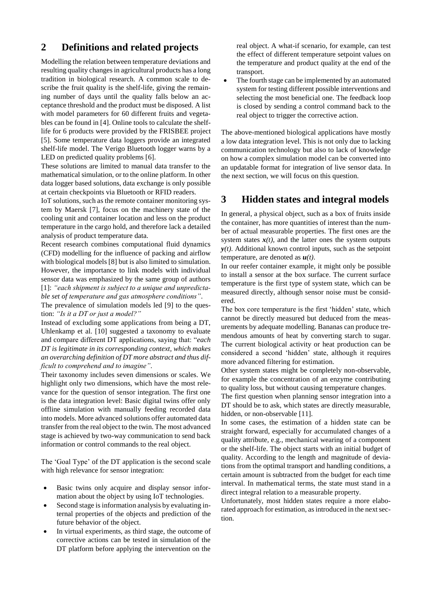# **2 Definitions and related projects**

Modelling the relation between temperature deviations and resulting quality changes in agricultural products has a long tradition in biological research. A common scale to describe the fruit quality is the shelf-life, giving the remaining number of days until the quality falls below an acceptance threshold and the product must be disposed. A list with model parameters for 60 different fruits and vegetables can be found in [4]. Online tools to calculate the shelflife for 6 products were provided by the FRISBEE project [5]. Some temperature data loggers provide an integrated shelf-life model. The Verigo Bluetooth logger warns by a LED on predicted quality problems [6].

These solutions are limited to manual data transfer to the mathematical simulation, or to the online platform. In other data logger based solutions, data exchange is only possible at certain checkpoints via Bluetooth or RFID readers.

IoT solutions, such as the remote container monitoring system by Maersk [7], focus on the machinery state of the cooling unit and container location and less on the product temperature in the cargo hold, and therefore lack a detailed analysis of product temperature data.

Recent research combines computational fluid dynamics (CFD) modelling for the influence of packing and airflow with biological models [8] but is also limited to simulation. However, the importance to link models with individual sensor data was emphasized by the same group of authors [1]: *"each shipment is subject to a unique and unpredictable set of temperature and gas atmosphere conditions"*.

The prevalence of simulation models led [9] to the question: *"Is it a DT or just a model?"*

Instead of excluding some applications from being a DT, Uhlenkamp et al. [10] suggested a taxonomy to evaluate and compare different DT applications, saying that: "*each DT is legitimate in its corresponding context, which makes an overarching definition of DT more abstract and thus difficult to comprehend and to imagine"*.

Their taxonomy includes seven dimensions or scales. We highlight only two dimensions, which have the most relevance for the question of sensor integration. The first one is the data integration level: Basic digital twins offer only offline simulation with manually feeding recorded data into models. More advanced solutions offer automated data transfer from the real object to the twin. The most advanced stage is achieved by two-way communication to send back information or control commands to the real object.

The 'Goal Type' of the DT application is the second scale with high relevance for sensor integration:

- Basic twins only acquire and display sensor information about the object by using IoT technologies.
- Second stage is information analysis by evaluating internal properties of the objects and prediction of the future behavior of the object.
- In virtual experiments, as third stage, the outcome of corrective actions can be tested in simulation of the DT platform before applying the intervention on the

real object. A what-if scenario, for example, can test the effect of different temperature setpoint values on the temperature and product quality at the end of the transport.

 The fourth stage can be implemented by an automated system for testing different possible interventions and selecting the most beneficial one. The feedback loop is closed by sending a control command back to the real object to trigger the corrective action.

The above-mentioned biological applications have mostly a low data integration level. This is not only due to lacking communication technology but also to lack of knowledge on how a complex simulation model can be converted into an updatable format for integration of live sensor data. In the next section, we will focus on this question.

## **3 Hidden states and integral models**

In general, a physical object, such as a box of fruits inside the container, has more quantities of interest than the number of actual measurable properties. The first ones are the system states  $x(t)$ , and the latter ones the system outputs *y(t)*. Additional known control inputs, such as the setpoint temperature, are denoted as *u(t)*.

In our reefer container example, it might only be possible to install a sensor at the box surface. The current surface temperature is the first type of system state, which can be measured directly, although sensor noise must be considered.

The box core temperature is the first 'hidden' state, which cannot be directly measured but deduced from the measurements by adequate modelling. Bananas can produce tremendous amounts of heat by converting starch to sugar. The current biological activity or heat production can be considered a second 'hidden' state, although it requires more advanced filtering for estimation.

Other system states might be completely non-observable, for example the concentration of an enzyme contributing to quality loss, but without causing temperature changes.

The first question when planning sensor integration into a DT should be to ask, which states are directly measurable, hidden, or non-observable [11].

In some cases, the estimation of a hidden state can be straight forward, especially for accumulated changes of a quality attribute, e.g., mechanical wearing of a component or the shelf-life. The object starts with an initial budget of quality. According to the length and magnitude of deviations from the optimal transport and handling conditions, a certain amount is subtracted from the budget for each time interval. In mathematical terms, the state must stand in a direct integral relation to a measurable property.

Unfortunately, most hidden states require a more elaborated approach for estimation, as introduced in the next section.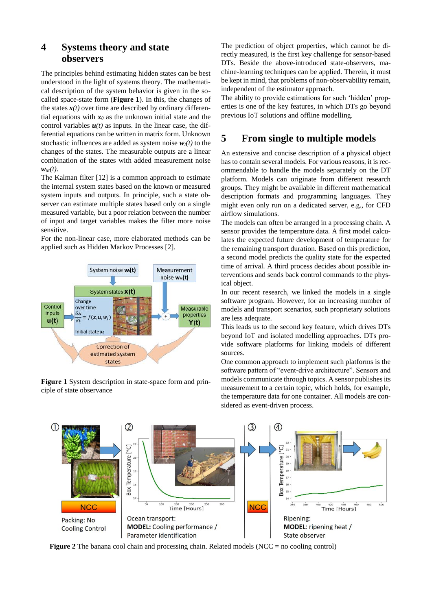# **4 Systems theory and state observers**

The principles behind estimating hidden states can be best understood in the light of systems theory. The mathematical description of the system behavior is given in the socalled space-state form (**Figure 1**). In this, the changes of the states  $x(t)$  over time are described by ordinary differential equations with  $x_0$  as the unknown initial state and the control variables  $u(t)$  as inputs. In the linear case, the differential equations can be written in matrix form. Unknown stochastic influences are added as system noise  $w_i(t)$  to the changes of the states. The measurable outputs are a linear combination of the states with added measurement noise  $w<sub>M</sub>(t)$ .

The Kalman filter [12] is a common approach to estimate the internal system states based on the known or measured system inputs and outputs. In principle, such a state observer can estimate multiple states based only on a single measured variable, but a poor relation between the number of input and target variables makes the filter more noise sensitive.

For the non-linear case, more elaborated methods can be applied such as Hidden Markov Processes [2].



**Figure 1** System description in state-space form and principle of state observance

The prediction of object properties, which cannot be directly measured, is the first key challenge for sensor-based DTs. Beside the above-introduced state-observers, machine-learning techniques can be applied. Therein, it must be kept in mind, that problems of non-observability remain, independent of the estimator approach.

The ability to provide estimations for such 'hidden' properties is one of the key features, in which DTs go beyond previous IoT solutions and offline modelling.

# **5 From single to multiple models**

An extensive and concise description of a physical object has to contain several models. For various reasons, it is recommendable to handle the models separately on the DT platform. Models can originate from different research groups. They might be available in different mathematical description formats and programming languages. They might even only run on a dedicated server, e.g., for CFD airflow simulations.

The models can often be arranged in a processing chain. A sensor provides the temperature data. A first model calculates the expected future development of temperature for the remaining transport duration. Based on this prediction, a second model predicts the quality state for the expected time of arrival. A third process decides about possible interventions and sends back control commands to the physical object.

In our recent research, we linked the models in a single software program. However, for an increasing number of models and transport scenarios, such proprietary solutions are less adequate.

This leads us to the second key feature, which drives DTs beyond IoT and isolated modelling approaches. DTs provide software platforms for linking models of different sources.

One common approach to implement such platforms is the software pattern of "event-drive architecture". Sensors and models communicate through topics. A sensor publishes its measurement to a certain topic, which holds, for example, the temperature data for one container. All models are considered as event-driven process.



**Figure 2** The banana cool chain and processing chain. Related models (NCC = no cooling control)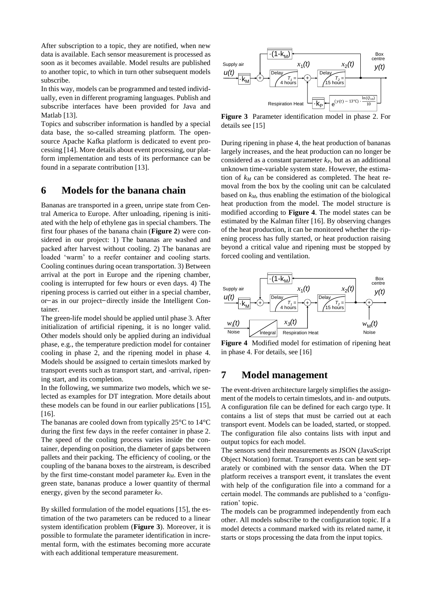After subscription to a topic, they are notified, when new data is available. Each sensor measurement is processed as soon as it becomes available. Model results are published to another topic, to which in turn other subsequent models subscribe.

In this way, models can be programmed and tested individually, even in different programing languages. Publish and subscribe interfaces have been provided for Java and Matlab [13].

Topics and subscriber information is handled by a special data base, the so-called streaming platform. The opensource Apache Kafka platform is dedicated to event processing [14]. More details about event processing, our platform implementation and tests of its performance can be found in a separate contribution [13].

#### **6 Models for the banana chain**

Bananas are transported in a green, unripe state from Central America to Europe. After unloading, ripening is initiated with the help of ethylene gas in special chambers. The first four phases of the banana chain (**Figure 2**) were considered in our project: 1) The bananas are washed and packed after harvest without cooling. 2) The bananas are loaded 'warm' to a reefer container and cooling starts. Cooling continues during ocean transportation. 3) Between arrival at the port in Europe and the ripening chamber, cooling is interrupted for few hours or even days. 4) The ripening process is carried out either in a special chamber, or-as in our project-directly inside the Intelligent Container.

The green-life model should be applied until phase 3. After initialization of artificial ripening, it is no longer valid. Other models should only be applied during an individual phase, e.g., the temperature prediction model for container cooling in phase 2, and the ripening model in phase 4. Models should be assigned to certain timeslots marked by transport events such as transport start, and -arrival, ripening start, and its completion.

In the following, we summarize two models, which we selected as examples for DT integration. More details about these models can be found in our earlier publications [15],  $[16]$ .

The bananas are cooled down from typically 25°C to 14°C during the first few days in the reefer container in phase 2. The speed of the cooling process varies inside the container, depending on position, the diameter of gaps between pallets and their packing. The efficiency of cooling, or the coupling of the banana boxes to the airstream, is described by the first time-constant model parameter *kM*. Even in the green state, bananas produce a lower quantity of thermal energy, given by the second parameter *kP*.

By skilled formulation of the model equations [15], the estimation of the two parameters can be reduced to a linear system identification problem (**Figure 3**). Moreover, it is possible to formulate the parameter identification in incremental form, with the estimates becoming more accurate with each additional temperature measurement.



**Figure 3** Parameter identification model in phase 2. For details see [15]

During ripening in phase 4, the heat production of bananas largely increases, and the heat production can no longer be considered as a constant parameter *kP*, but as an additional unknown time-variable system state. However, the estimation of *k<sup>M</sup>* can be considered as completed. The heat removal from the box by the cooling unit can be calculated based on *kM*, thus enabling the estimation of the biological heat production from the model. The model structure is modified according to **Figure 4**. The model states can be estimated by the Kalman filter [16]. By observing changes of the heat production, it can be monitored whether the ripening process has fully started, or heat production raising beyond a critical value and ripening must be stopped by forced cooling and ventilation.



**Figure 4** Modified model for estimation of ripening heat in phase 4. For details, see [16]

#### **7 Model management**

The event-driven architecture largely simplifies the assignment of the models to certain timeslots, and in- and outputs. A configuration file can be defined for each cargo type. It contains a list of steps that must be carried out at each transport event. Models can be loaded, started, or stopped. The configuration file also contains lists with input and output topics for each model.

The sensors send their measurements as JSON (JavaScript Object Notation) format. Transport events can be sent separately or combined with the sensor data. When the DT platform receives a transport event, it translates the event with help of the configuration file into a command for a certain model. The commands are published to a 'configuration' topic.

The models can be programmed independently from each other. All models subscribe to the configuration topic. If a model detects a command marked with its related name, it starts or stops processing the data from the input topics.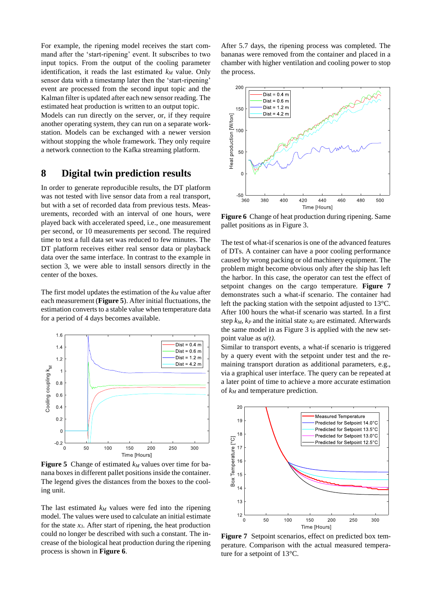For example, the ripening model receives the start command after the 'start-ripening' event. It subscribes to two input topics. From the output of the cooling parameter identification, it reads the last estimated  $k_M$  value. Only sensor data with a timestamp later then the 'start-ripening' event are processed from the second input topic and the Kalman filter is updated after each new sensor reading. The estimated heat production is written to an output topic.

Models can run directly on the server, or, if they require another operating system, they can run on a separate workstation. Models can be exchanged with a newer version without stopping the whole framework. They only require a network connection to the Kafka streaming platform.

### **8 Digital twin prediction results**

In order to generate reproducible results, the DT platform was not tested with live sensor data from a real transport, but with a set of recorded data from previous tests. Measurements, recorded with an interval of one hours, were played back with accelerated speed, i.e., one measurement per second, or 10 measurements per second. The required time to test a full data set was reduced to few minutes. The DT platform receives either real sensor data or playback data over the same interface. In contrast to the example in section 3, we were able to install sensors directly in the center of the boxes.

The first model updates the estimation of the *k<sup>M</sup>* value after each measurement (**Figure 5**). After initial fluctuations, the estimation converts to a stable value when temperature data for a period of 4 days becomes available.



**Figure 5** Change of estimated *k<sup>M</sup>* values over time for banana boxes in different pallet positions inside the container. The legend gives the distances from the boxes to the cooling unit.

The last estimated  $k_M$  values were fed into the ripening model. The values were used to calculate an initial estimate for the state *x3*. After start of ripening, the heat production could no longer be described with such a constant. The increase of the biological heat production during the ripening process is shown in **Figure 6**.

After 5.7 days, the ripening process was completed. The bananas were removed from the container and placed in a chamber with higher ventilation and cooling power to stop the process.



**Figure 6** Change of heat production during ripening. Same pallet positions as in Figure 3.

The test of what-if scenarios is one of the advanced features of DTs. A container can have a poor cooling performance caused by wrong packing or old machinery equipment. The problem might become obvious only after the ship has left the harbor. In this case, the operator can test the effect of setpoint changes on the cargo temperature. **Figure 7** demonstrates such a what-if scenario. The container had left the packing station with the setpoint adjusted to 13°C. After 100 hours the what-if scenario was started. In a first step  $k_M$ ,  $k_P$  and the initial state  $x_0$  are estimated. Afterwards the same model in as Figure 3 is applied with the new setpoint value as *u(t)*.

Similar to transport events, a what-if scenario is triggered by a query event with the setpoint under test and the remaining transport duration as additional parameters, e.g., via a graphical user interface. The query can be repeated at a later point of time to achieve a more accurate estimation of *k<sup>M</sup>* and temperature prediction.



Figure 7 Setpoint scenarios, effect on predicted box temperature. Comparison with the actual measured temperature for a setpoint of 13°C.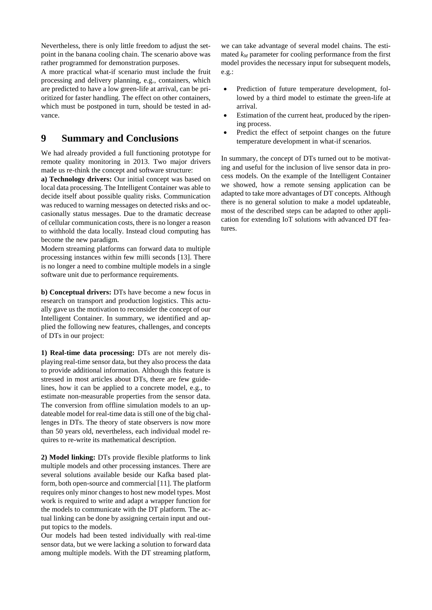Nevertheless, there is only little freedom to adjust the setpoint in the banana cooling chain. The scenario above was rather programmed for demonstration purposes.

A more practical what-if scenario must include the fruit processing and delivery planning, e.g., containers, which are predicted to have a low green-life at arrival, can be prioritized for faster handling. The effect on other containers, which must be postponed in turn, should be tested in advance.

#### **9 Summary and Conclusions**

We had already provided a full functioning prototype for remote quality monitoring in 2013. Two major drivers made us re-think the concept and software structure:

**a) Technology drivers:** Our initial concept was based on local data processing. The Intelligent Container was able to decide itself about possible quality risks. Communication was reduced to warning messages on detected risks and occasionally status messages. Due to the dramatic decrease of cellular communication costs, there is no longer a reason to withhold the data locally. Instead cloud computing has become the new paradigm.

Modern streaming platforms can forward data to multiple processing instances within few milli seconds [13]. There is no longer a need to combine multiple models in a single software unit due to performance requirements.

**b) Conceptual drivers:** DTs have become a new focus in research on transport and production logistics. This actually gave us the motivation to reconsider the concept of our Intelligent Container. In summary, we identified and applied the following new features, challenges, and concepts of DTs in our project:

**1) Real-time data processing:** DTs are not merely displaying real-time sensor data, but they also process the data to provide additional information. Although this feature is stressed in most articles about DTs, there are few guidelines, how it can be applied to a concrete model, e.g., to estimate non-measurable properties from the sensor data. The conversion from offline simulation models to an updateable model for real-time data is still one of the big challenges in DTs. The theory of state observers is now more than 50 years old, nevertheless, each individual model requires to re-write its mathematical description.

**2) Model linking:** DTs provide flexible platforms to link multiple models and other processing instances. There are several solutions available beside our Kafka based platform, both open-source and commercial [11]. The platform requires only minor changes to host new model types. Most work is required to write and adapt a wrapper function for the models to communicate with the DT platform. The actual linking can be done by assigning certain input and output topics to the models.

Our models had been tested individually with real-time sensor data, but we were lacking a solution to forward data among multiple models. With the DT streaming platform,

we can take advantage of several model chains. The estimated  $k_M$  parameter for cooling performance from the first model provides the necessary input for subsequent models. e.g.:

- Prediction of future temperature development, followed by a third model to estimate the green-life at arrival.
- Estimation of the current heat, produced by the ripening process.
- Predict the effect of setpoint changes on the future temperature development in what-if scenarios.

In summary, the concept of DTs turned out to be motivating and useful for the inclusion of live sensor data in process models. On the example of the Intelligent Container we showed, how a remote sensing application can be adapted to take more advantages of DT concepts. Although there is no general solution to make a model updateable, most of the described steps can be adapted to other application for extending IoT solutions with advanced DT features.